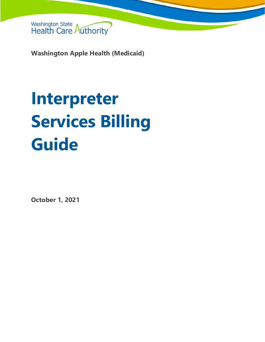

**Washington Apple Health (Medicaid)**

# **Interpreter Services Billing Guide**

**October 1, 2021**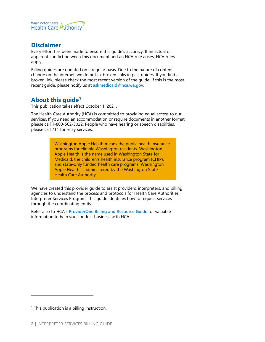

## **Disclaimer**

Every effort has been made to ensure this guide's accuracy. If an actual or apparent conflict between this document and an HCA rule arises, HCA rules apply.

Billing guides are updated on a regular basis. Due to the nature of content change on the internet, we do not fix broken links in past guides. If you find a broken link, please check the most recent version of the guide. If this is the most recent guide, please notify us at **[askmedicaid@hca.wa.gov](mailto:askmedicaid@hca.wa.gov)**.

# **About this guide[1](#page-1-0)**

This publication takes effect October 1, 2021.

The Health Care Authority (HCA) is committed to providing equal access to our services. If you need an accommodation or require documents in another format, please call 1-800-562-3022. People who have hearing or speech disabilities, please call 711 for relay services.

> Washington Apple Health means the public health insurance programs for eligible Washington residents. Washington Apple Health is the name used in Washington State for Medicaid, the children's health insurance program (CHIP), and state-only funded health care programs. Washington Apple Health is administered by the Washington State Health Care Authority.

We have created this provider guide to assist providers, interpreters, and billing agencies to understand the process and protocols for Health Care Authorities Interpreter Services Program. This guide identifies how to request services through the coordinating entity.

Refer also to HCA's **[ProviderOne Billing and Resource Guide](http://www.hca.wa.gov/node/311)** for valuable information to help you conduct business with HCA.

<span id="page-1-0"></span><sup>&</sup>lt;sup>1</sup> This publication is a billing instruction.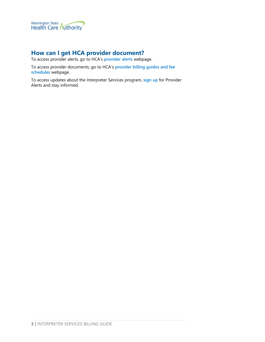

# **How can I get HCA provider document?**

To access provider alerts, go to HCA's **[provider alerts](http://www.hca.wa.gov/node/316)** webpage.

To access provider documents, go to HCA's **[provider billing guides and fee](http://www.hca.wa.gov/node/301)  [schedules](http://www.hca.wa.gov/node/301)** webpage.

To access updates about the Interpreter Services program, **[sign up](https://public.govdelivery.com/accounts/WAHCA/subscriber/new?category_id=WAHCA_C13)** for Provider Alerts and stay informed.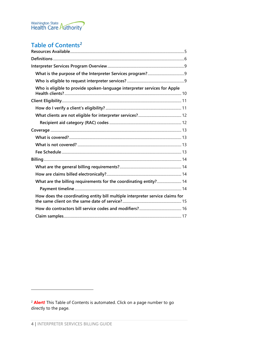

# Table of Contents<sup>2</sup>

| Who is eligible to provide spoken-language interpreter services for Apple     |  |
|-------------------------------------------------------------------------------|--|
|                                                                               |  |
|                                                                               |  |
|                                                                               |  |
|                                                                               |  |
|                                                                               |  |
|                                                                               |  |
|                                                                               |  |
|                                                                               |  |
|                                                                               |  |
|                                                                               |  |
|                                                                               |  |
| What are the billing requirements for the coordinating entity? 14             |  |
|                                                                               |  |
| How does the coordinating entity bill multiple interpreter service claims for |  |
|                                                                               |  |
|                                                                               |  |

<span id="page-3-0"></span><sup>&</sup>lt;sup>2</sup> Alert! This Table of Contents is automated. Click on a page number to go directly to the page.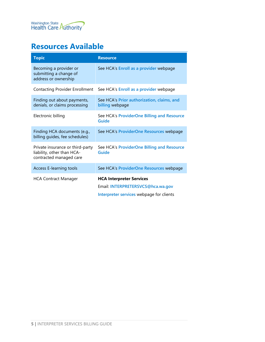

# <span id="page-4-0"></span>**Resources Available**

| <b>Topic</b>                                                                              | <b>Resource</b>                                                                                                  |
|-------------------------------------------------------------------------------------------|------------------------------------------------------------------------------------------------------------------|
| Becoming a provider or<br>submitting a change of<br>address or ownership                  | See HCA's Enroll as a provider webpage                                                                           |
| <b>Contacting Provider Enrollment</b>                                                     | See HCA's <b>Enroll as a provider</b> webpage                                                                    |
| Finding out about payments,<br>denials, or claims processing                              | See HCA's Prior authorization, claims, and<br>billing webpage                                                    |
| Electronic billing                                                                        | See HCA's ProviderOne Billing and Resource<br>Guide                                                              |
| Finding HCA documents (e.g.,<br>billing guides, fee schedules)                            | See HCA's ProviderOne Resources webpage                                                                          |
| Private insurance or third-party<br>liability, other than HCA-<br>contracted managed care | See HCA's ProviderOne Billing and Resource<br><b>Guide</b>                                                       |
| <b>Access E-learning tools</b>                                                            | See HCA's ProviderOne Resources webpage                                                                          |
| <b>HCA Contract Manager</b>                                                               | <b>HCA Interpreter Services</b><br>Email: INTERPRETERSVCS@hca.wa.gov<br>Interpreter services webpage for clients |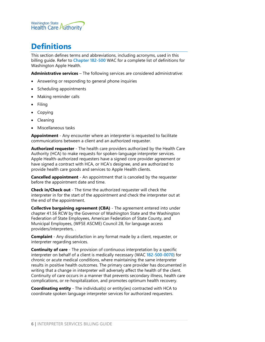

# <span id="page-5-0"></span>**Definitions**

This section defines terms and abbreviations, including acronyms, used in this billing guide. Refer to **[Chapter 182-500](http://app.leg.wa.gov/WAC/default.aspx?cite=182-500)** WAC for a complete list of definitions for Washington Apple Health.

**Administrative services** – The following services are considered administrative:

- Answering or responding to general phone inquiries
- Scheduling appointments
- Making reminder calls
- Filing
- **Copying**
- Cleaning
- Miscellaneous tasks

**Appointment** - Any encounter where an interpreter is requested to facilitate communications between a client and an authorized requester.

**Authorized requester** - The health care providers authorized by the Health Care Authority (HCA) to make requests for spoken-language interpreter services. Apple Health-authorized requesters have a signed core provider agreement or have signed a contract with HCA, or HCA's designee, and are authorized to provide health care goods and services to Apple Health clients.

**Cancelled appointment** - An appointment that is canceled by the requester before the appointment date and time.

**Check in/Check out** - The time the authorized requester will check the interpreter in for the start of the appointment and check the interpreter out at the end of the appointment.

**Collective bargaining agreement (CBA)** - The agreement entered into under chapter 41.56 RCW by the Governor of Washington State and the Washington Federation of State Employees, American Federation of State County, and Municipal Employees, (WFSE ASCME) Council 28, for language access providers/interpreters, .

**Complaint** - Any dissatisfaction in any format made by a client, requester, or interpreter regarding services.

**Continuity of care** - The provision of continuous interpretation by a specific interpreter on behalf of a client is medically necessary (WAC **[182-500-0070](https://app.leg.wa.gov/wac/default.aspx?cite=182-500-0070)**) for chronic or acute medical conditions, where maintaining the same interpreter results in positive health outcomes. The primary care provider has documented in writing that a change in interpreter will adversely affect the health of the client. Continuity of care occurs in a manner that prevents secondary illness, health care complications, or re-hospitalization, and promotes optimum health recovery.

**Coordinating entity** - The individual(s) or entity(ies) contracted with HCA to coordinate spoken language interpreter services for authorized requesters.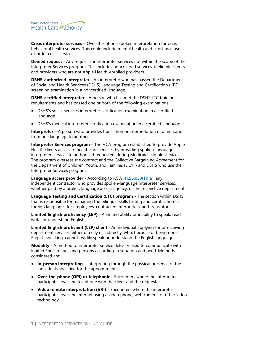

**Crisis interpreter services** – Over-the-phone spoken interpretation for crisis behavioral health services. This could include mental health and substance use disorder crisis services.

**Denied request** - Any request for interpreter services not within the scope of the Interpreter Services program. This includes noncovered services, ineligible clients, and providers who are not Apple Health-enrolled providers.

**DSHS-authorized interpreter** - An interpreter who has passed the Department of Social and Health Services (DSHS) Language Testing and Certification (LTC) screening examination in a noncertified language.

**DSHS-certified interpreter** - A person who has met the DSHS LTC training requirements and has passed one or both of the following examinations:

- DSHS's social services interpreter certification examination in a certified language
- DSHS's medical interpreter certification examination in a certified language

**Interpreter** – A person who provides translation or interpretation of a message from one language to another.

**Interpreter Services program** – The HCA program established to provide Apple Health clients access to health care services by providing spoken-language interpreter services to authorized requesters during Medicaid-eligible services. The program oversees the contract and the Collective Bargaining Agreement for the Department of Children, Youth, and Families (DCYF) and DSHS who use the Interpreter Services program.

**Language access provider** - According to RCW **[41.56.030\(11\)\(a\)](https://app.leg.wa.gov/rcw/default.aspx?cite=41.56.030)**, any independent contractor who provides spoken-language interpreter services, whether paid by a broker, language access agency, or the respective department.

**Language Testing and Certification (LTC) program** - The section within DSHS that is responsible for managing the bilingual skills testing and certification in foreign languages for employees, contracted interpreters, and translators.

**Limited English proficiency (LEP)** - A limited ability or inability to speak, read, write, or understand English.

**Limited English proficient (LEP) client** - An individual applying for or receiving department services, either directly or indirectly, who, because of being non-English speaking, cannot readily speak or understand the English language.

**Modality** - A method of interpreter service delivery used to communicate with limited English-speaking persons according to situation and need. Methods considered are:

- **In-person interpreting** Interpreting through the physical presence of the individuals specified for the appointment.
- **Over-the-phone (OPI) or telephonic** Encounters where the interpreter participates over the telephone with the client and the requester.
- **Video remote interpretation (VRI)** Encounters where the interpreter participates over the internet using a video phone, web camera, or other video technology.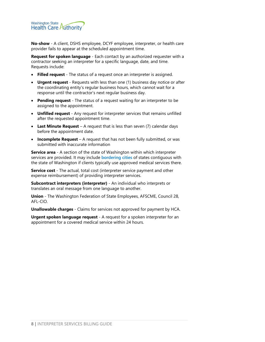

**No-show** - A client, DSHS employee, DCYF employee, interpreter, or health care provider fails to appear at the scheduled appointment time.

**Request for spoken language** - Each contact by an authorized requester with a contractor seeking an interpreter for a specific language, date, and time. Requests include:

- **Filled request** The status of a request once an interpreter is assigned.
- **Urgent request** Requests with less than one (1) business day notice or after the coordinating entity's regular business hours, which cannot wait for a response until the contractor's next regular business day.
- **Pending request** The status of a request waiting for an interpreter to be assigned to the appointment.
- **Unfilled request** Any request for interpreter services that remains unfilled after the requested appointment time.
- **Last Minute Request** A request that is less than seven (7) calendar days before the appointment date.
- **Incomplete Request** A request that has not been fully submitted, or was submitted with inaccurate information

**Service area** - A section of the state of Washington within which interpreter services are provided. It may include **[bordering cities](https://www.hca.wa.gov/health-care-services-and-supports/program-administration/wac-182-501-0175-medical-care-provided)** of states contiguous with the state of Washington if clients typically use approved medical services there.

**Service cost** - The actual, total cost (interpreter service payment and other expense reimbursement) of providing interpreter services.

**Subcontract interpreters (interpreter)** - An individual who interprets or translates an oral message from one language to another.

**Union** - The Washington Federation of State Employees, AFSCME, Council 28, AFL-CIO.

**Unallowable charges** - Claims for services not approved for payment by HCA.

**Urgent spoken language request** - A request for a spoken interpreter for an appointment for a covered medical service within 24 hours.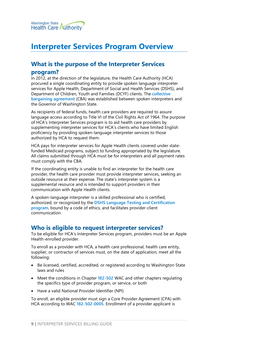

# <span id="page-8-0"></span>**Interpreter Services Program Overview**

# <span id="page-8-1"></span>**What is the purpose of the Interpreter Services**

#### **program?**

In 2012, at the direction of the legislature, the Health Care Authority (HCA) procured a single coordinating entity to provide spoken language interpreter services for Apple Health, Department of Social and Health Services (DSHS), and Department of Children, Youth and Families (DCYF) clients. The **[collective](https://ofm.wa.gov/state-human-resources/labor-relations/collective-bargaining-agreements/language-access-providers-wfse-2017-19)  [bargaining agreement](https://ofm.wa.gov/state-human-resources/labor-relations/collective-bargaining-agreements/language-access-providers-wfse-2017-19)** (CBA) was established between spoken interpreters and the Governor of Washington State.

As recipients of federal funds, health care providers are required to assure language access according to Title VI of the Civil Rights Act of 1964. The purpose of HCA's Interpreter Services program is to aid health care providers by supplementing interpreter services for HCA's clients who have limited English proficiency by providing spoken-language interpreter services to those authorized by HCA to request them.

HCA pays for interpreter services for Apple Health clients covered under statefunded Medicaid programs, subject to funding appropriated by the legislature. All claims submitted through HCA must be for interpreters and all payment rates must comply with the CBA.

If the coordinating entity is unable to find an interpreter for the health care provider, the health care provider must provide interpreter services, seeking an outside resource at their expense. The state's interpreter system is a supplemental resource and is intended to support providers in their communication with Apple Health clients.

A spoken-language interpreter is a skilled professional who is certified, authorized, or recognized by the **[DSHS Language Testing and Certification](https://www.dshs.wa.gov/office-of-the-secretary/language-testing-and-certification-program)  [program](https://www.dshs.wa.gov/office-of-the-secretary/language-testing-and-certification-program)**, bound by a code of ethics, and facilitates provider-client communication.

### <span id="page-8-2"></span>**Who is eligible to request interpreter services?**

To be eligible for HCA's Interpreter Services program, providers must be an Apple Health-enrolled provider.

To enroll as a provider with HCA, a health care professional, health care entity, supplier, or contractor of services must, on the date of application, meet all the following:

- Be licensed, certified, accredited, or registered according to Washington State laws and rules
- Meet the conditions in Chapter **[182-502](https://apps.leg.wa.gov/WAC/default.aspx?cite=182-502)** WAC and other chapters regulating the specifics type of provider program, or service, or both
- Have a valid National Provider Identifier (NPI)

To enroll, an eligible provider must sign a Core Provider Agreement (CPA) with HCA according to WAC **[182-502-0005](https://apps.leg.wa.gov/WAC/default.aspx?cite=182-502-0005)**. Enrollment of a provider applicant is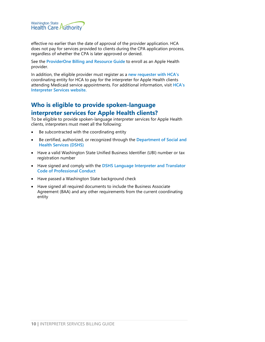

effective no earlier than the date of approval of the provider application. HCA does not pay for services provided to clients during the CPA application process, regardless of whether the CPA is later approved or denied.

See the **[ProviderOne Billing and Resource Guide](http://www.hca.wa.gov/node/311)** to enroll as an Apple Health provider.

In addition, the eligible provider must register as a **[new requester](https://hcauniversal.com/new-requester-registration/) with HCA's** coordinating entity for HCA to pay for the interpreter for Apple Health clients attending Medicaid service appointments. For additional information, visit **[HCA's](https://www.hca.wa.gov/about-hca/interpreter-services)  [Interpreter Services website.](https://www.hca.wa.gov/about-hca/interpreter-services)** 

# <span id="page-9-0"></span>**Who is eligible to provide spoken-language interpreter services for Apple Health clients?**

To be eligible to provide spoken-language interpreter services for Apple Health clients, interpreters must meet all the following:

- Be subcontracted with the coordinating entity
- Be certified, authorized, or recognized through the **[Department of Social and](https://www.dshs.wa.gov/office-of-the-secretary/language-testing-and-certification-program)  [Health Services](https://www.dshs.wa.gov/office-of-the-secretary/language-testing-and-certification-program) (DSHS)**
- Have a valid Washington State Unified Business Identifier (UBI) number or tax registration number
- Have signed and comply with the **[DSHS Language Interpreter and Translator](https://www.dshs.wa.gov/office-of-the-secretary/language-testing-and-certification-program)  [Code of Professional Conduct](https://www.dshs.wa.gov/office-of-the-secretary/language-testing-and-certification-program)**
- Have passed a Washington State background check
- Have signed all required documents to include the Business Associate Agreement (BAA) and any other requirements from the current coordinating entity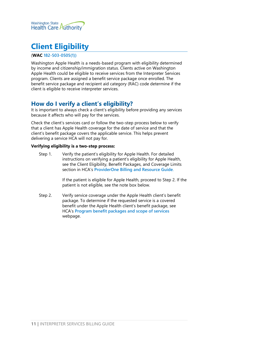

# <span id="page-10-0"></span>**Client Eligibility**

#### (**WAC [182-503-0505\(1\)\)](https://www.hca.wa.gov/health-care-services-and-supports/program-administration/wac-182-503-0505-washington-apple-health)**

Washington Apple Health is a needs-based program with eligibility determined by income and citizenship/immigration status. Clients active on Washington Apple Health could be eligible to receive services from the Interpreter Services program. Clients are assigned a benefit service package once enrolled. The benefit service package and recipient aid category (RAC) code determine if the client is eligible to receive interpreter services.

## <span id="page-10-1"></span>**How do I verify a client's eligibility?**

It is important to always check a client's eligibility before providing any services because it affects who will pay for the services.

Check the client's services card or follow the two-step process below to verify that a client has Apple Health coverage for the date of service and that the client's benefit package covers the applicable service. This helps prevent delivering a service HCA will not pay for.

#### **Verifying eligibility is a two-step process:**

Step 1. Verify the patient's eligibility for Apple Health. For detailed instructions on verifying a patient's eligibility for Apple Health, see the Client Eligibility, Benefit Packages, and Coverage Limits section in HCA's **[ProviderOne Billing and Resource Guide](http://www.hca.wa.gov/node/311)**.

> If the patient is eligible for Apple Health, proceed to Step 2. If the patient is not eligible, see the note box below.

Step 2. Verify service coverage under the Apple Health client's benefit package. To determine if the requested service is a covered benefit under the Apple Health client's benefit package, see HCA's **[Program benefit packages and scope of services](http://www.hca.wa.gov/node/2391)** webpage.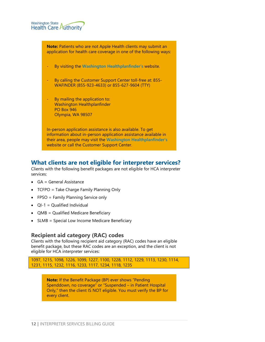**Note:** Patients who are not Apple Health clients may submit an application for health care coverage in one of the following ways: - By visiting the **[Washington Healthplanfinder's](http://www.wahealthplanfinder.org/)** website. - By calling the Customer Support Center toll-free at: 855- WAFINDER (855-923-4633) or 855-627-9604 (TTY) By mailing the application to: Washington Healthplanfinder PO Box 946 Olympia, WA 98507 In-person application assistance is also available. To get information about in-person application assistance available in their area, people may visit the **[Washington Healthplanfinder's](http://www.wahealthplanfinder.org/)** website or call the Customer Support Center.

## <span id="page-11-0"></span>**What clients are not eligible for interpreter services?**

Clients with the following benefit packages are not eligible for HCA interpreter services:

- GA = General Assistance
- TCFPO = Take Charge Family Planning Only
- FPSO = Family Planning Service only
- $QI-1 = Qualified Individual$
- QMB = Qualified Medicare Beneficiary
- SLMB = Special Low Income Medicare Beneficiary

#### <span id="page-11-1"></span>**Recipient aid category (RAC) codes**

Clients with the following recipient aid category (RAC) codes have an eligible benefit package, but these RAC codes are an exception, and the client is not eligible for HCA interpreter services:

1097, 1215, 1098, 1226, 1099, 1227, 1100, 1228, 1112, 1229, 1113, 1230, 1114, 1231, 1115, 1232, 1116, 1233, 1117, 1234, 1118, 1235

> **Note:** If the Benefit Package (BP) ever shows "Pending Spenddown, no coverage" or "Suspended – in Patient Hospital Only," then the client IS NOT eligible. You must verify the BP for every client.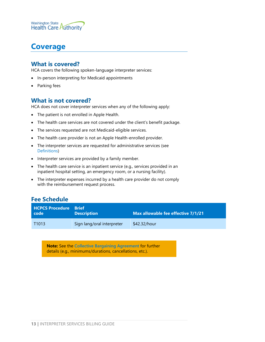

# <span id="page-12-0"></span>**Coverage**

#### <span id="page-12-1"></span>**What is covered?**

HCA covers the following spoken-language interpreter services:

- In-person interpreting for Medicaid appointments
- Parking fees

#### <span id="page-12-2"></span>**What is not covered?**

HCA does not cover interpreter services when any of the following apply:

- The patient is not enrolled in Apple Health.
- The health care services are not covered under the client's benefit package.
- The services requested are not Medicaid-eligible services.
- The health care provider is not an Apple Health-enrolled provider.
- The interpreter services are requested for administrative services (see [Definitions\)](#page-5-0)
- Interpreter services are provided by a family member.
- The health care service is an inpatient service (e.g., services provided in an inpatient hospital setting, an emergency room, or a nursing facility).
- The interpreter expenses incurred by a health care provider do not comply with the reimbursement request process.

## <span id="page-12-3"></span>**Fee Schedule**

| <b>HCPCS Procedure Brief</b><br>code | <b>Description</b>         | Max allowable fee effective 7/1/21 |
|--------------------------------------|----------------------------|------------------------------------|
| T <sub>1013</sub>                    | Sign lang/oral interpreter | \$42.32/hour                       |

**Note:** See the **[Collective Bargaining Agreement](https://ofm.wa.gov/state-human-resources/labor-relations/collective-bargaining-agreements/washington-federation-state-employees-language-access-providers-wfse-lap-2021-23)** for further details (e.g., minimums/durations, cancellations, etc.).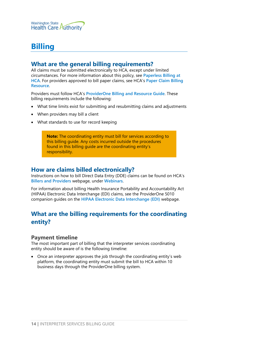

# <span id="page-13-0"></span>**Billing**

## <span id="page-13-1"></span>**What are the general billing requirements?**

All claims must be submitted electronically to HCA, except under limited circumstances. For more information about this policy, see **[Paperless Billing at](http://www.hca.wa.gov/billers-providers/providerone/providerone-billing-and-resource-guide#paperless-billing-at-hca)  [HCA](http://www.hca.wa.gov/billers-providers/providerone/providerone-billing-and-resource-guide#paperless-billing-at-hca)**. For providers approved to bill paper claims, see HCA's **[Paper Claim Billing](http://www.hca.wa.gov/assets/billers-and-providers/paper-claim-billing-resource.pdf)  [Resource](http://www.hca.wa.gov/assets/billers-and-providers/paper-claim-billing-resource.pdf)**.

Providers must follow HCA's **[ProviderOne Billing and Resource Guide](http://www.hca.wa.gov/node/311)**. These billing requirements include the following:

- What time limits exist for submitting and resubmitting claims and adjustments
- When providers may bill a client
- What standards to use for record keeping

**Note:** The coordinating entity must bill for services according to this billing guide. Any costs incurred outside the procedures found in this billing guide are the coordinating entity's responsibility.

## <span id="page-13-2"></span>**How are claims billed electronically?**

Instructions on how to bill Direct Data Entry (DDE) claims can be found on HCA's **[Billers and Providers](http://hca.wa.gov/billers-providers)** webpage, under **[Webinars](http://www.hca.wa.gov/node/2386)**.

For information about billing Health Insurance Portability and Accountability Act (HIPAA) Electronic Data Interchange (EDI) claims, see the ProviderOne 5010 companion guides on the **[HIPAA Electronic Data Interchange \(EDI\)](http://www.hca.wa.gov/node/2336)** webpage.

# <span id="page-13-3"></span>**What are the billing requirements for the coordinating entity?**

#### <span id="page-13-4"></span>**Payment timeline**

The most important part of billing that the interpreter services coordinating entity should be aware of is the following timeline:

• Once an interpreter approves the job through the coordinating entity's web platform, the coordinating entity must submit the bill to HCA within 10 business days through the ProviderOne billing system.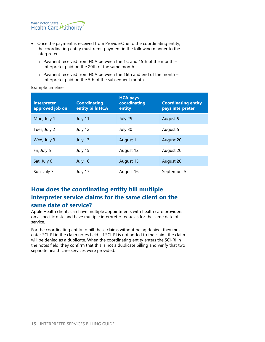

- Once the payment is received from ProviderOne to the coordinating entity, the coordinating entity must remit payment in the following manner to the interpreter:
	- o Payment received from HCA between the 1st and 15th of the month interpreter paid on the 20th of the same month.
	- o Payment received from HCA between the 16th and end of the month interpreter paid on the 5th of the subsequent month.

Example timeline:

| <b>Interpreter</b><br>approved job on | <b>Coordinating</b><br>entity bills HCA | <b>HCA pays</b><br>coordinating<br>entity | <b>Coordinating entity</b><br>pays interpreter |
|---------------------------------------|-----------------------------------------|-------------------------------------------|------------------------------------------------|
| Mon, July 1                           | July 11                                 | July 25                                   | August 5                                       |
| Tues, July 2                          | July 12                                 | July 30                                   | August 5                                       |
| Wed, July 3                           | July 13                                 | August 1                                  | August 20                                      |
| Fri, July 5                           | July 15                                 | August 12                                 | August 20                                      |
| Sat, July 6                           | July 16                                 | August 15                                 | August 20                                      |
| Sun, July 7                           | July 17                                 | August 16                                 | September 5                                    |

# <span id="page-14-0"></span>**How does the coordinating entity bill multiple interpreter service claims for the same client on the same date of service?**

Apple Health clients can have multiple appointments with health care providers on a specific date and have multiple interpreter requests for the same date of service.

For the coordinating entity to bill these claims without being denied, they must enter SCI-RI in the claim notes field. If SCI-RI is not added to the claim, the claim will be denied as a duplicate. When the coordinating entity enters the SCI-RI in the notes field, they confirm that this is not a duplicate billing and verify that two separate health care services were provided.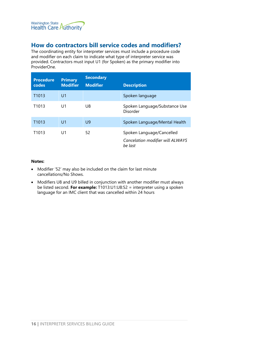

# <span id="page-15-0"></span>**How do contractors bill service codes and modifiers?**

The coordinating entity for interpreter services must include a procedure code and modifier on each claim to indicate what type of interpreter service was provided. Contractors must input U1 (for Spoken) as the primary modifier into ProviderOne.

| <b>Procedure</b><br>codes | <b>Primary</b><br><b>Modifier</b> | <b>Secondary</b><br><b>Modifier</b> | <b>Description</b>                                                       |
|---------------------------|-----------------------------------|-------------------------------------|--------------------------------------------------------------------------|
| T <sub>1013</sub>         | U <sub>1</sub>                    |                                     | Spoken language                                                          |
| T <sub>1013</sub>         | U <sub>1</sub>                    | U8                                  | Spoken Language/Substance Use<br>Disorder                                |
| T <sub>1013</sub>         | U <sub>1</sub>                    | U <sub>9</sub>                      | Spoken Language/Mental Health                                            |
| T1013                     | $\cup$ 1                          | 52                                  | Spoken Language/Cancelled<br>Cancelation modifier will ALWAYS<br>he last |

#### **Notes:**

- Modifier '52' may also be included on the claim for last minute cancellations/No Shows.
- Modifiers U8 and U9 billed in conjunction with another modifier must always be listed second. **For example:** T1013:U1:U8:52 = interpreter using a spoken language for an IMC client that was cancelled within 24 hours